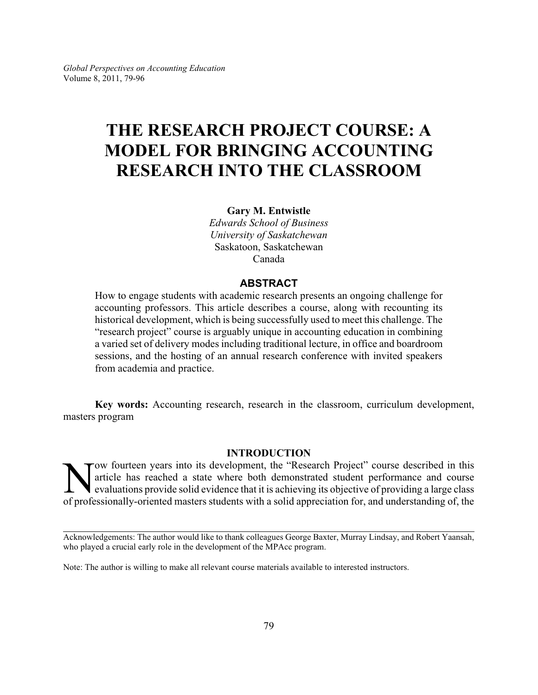# **THE RESEARCH PROJECT COURSE: A MODEL FOR BRINGING ACCOUNTING RESEARCH INTO THE CLASSROOM**

**Gary M. Entwistle**

*Edwards School of Business University of Saskatchewan* Saskatoon, Saskatchewan Canada

## **ABSTRACT**

How to engage students with academic research presents an ongoing challenge for accounting professors. This article describes a course, along with recounting its historical development, which is being successfully used to meet this challenge. The "research project" course is arguably unique in accounting education in combining a varied set of delivery modes including traditional lecture, in office and boardroom sessions, and the hosting of an annual research conference with invited speakers from academia and practice.

**Key words:** Accounting research, research in the classroom, curriculum development, masters program

#### **INTRODUCTION**

Nextrangly-oriented masters students with a solid appreciation for, and understanding of, the professionally-oriented masters students with a solid appreciation for, and understanding of, the ow fourteen years into its development, the "Research Project" course described in this article has reached a state where both demonstrated student performance and course evaluations provide solid evidence that it is achieving its objective of providing a large class

Acknowledgements: The author would like to thank colleagues George Baxter, Murray Lindsay, and Robert Yaansah, who played a crucial early role in the development of the MPAcc program.

Note: The author is willing to make all relevant course materials available to interested instructors.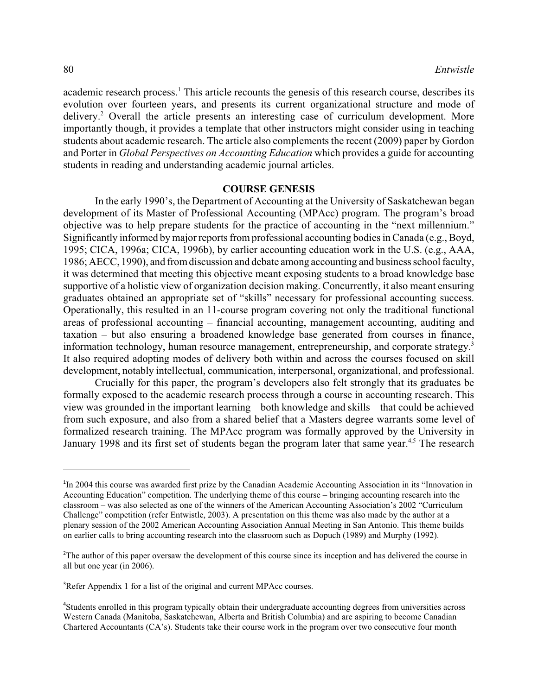academic research process.<sup>1</sup> This article recounts the genesis of this research course, describes its evolution over fourteen years, and presents its current organizational structure and mode of delivery.<sup>2</sup> Overall the article presents an interesting case of curriculum development. More importantly though, it provides a template that other instructors might consider using in teaching students about academic research. The article also complements the recent (2009) paper by Gordon and Porter in *Global Perspectives on Accounting Education* which provides a guide for accounting students in reading and understanding academic journal articles.

## **COURSE GENESIS**

In the early 1990's, the Department of Accounting at the University of Saskatchewan began development of its Master of Professional Accounting (MPAcc) program. The program's broad objective was to help prepare students for the practice of accounting in the "next millennium." Significantly informed by major reports from professional accounting bodies in Canada (e.g., Boyd, 1995; CICA, 1996a; CICA, 1996b), by earlier accounting education work in the U.S. (e.g., AAA, 1986; AECC, 1990), and fromdiscussion and debate among accounting and business school faculty, it was determined that meeting this objective meant exposing students to a broad knowledge base supportive of a holistic view of organization decision making. Concurrently, it also meant ensuring graduates obtained an appropriate set of "skills" necessary for professional accounting success. Operationally, this resulted in an 11-course program covering not only the traditional functional areas of professional accounting – financial accounting, management accounting, auditing and taxation – but also ensuring a broadened knowledge base generated from courses in finance, information technology, human resource management, entrepreneurship, and corporate strategy.<sup>3</sup> It also required adopting modes of delivery both within and across the courses focused on skill development, notably intellectual, communication, interpersonal, organizational, and professional.

Crucially for this paper, the program's developers also felt strongly that its graduates be formally exposed to the academic research process through a course in accounting research. This view was grounded in the important learning – both knowledge and skills – that could be achieved from such exposure, and also from a shared belief that a Masters degree warrants some level of formalized research training. The MPAcc program was formally approved by the University in January 1998 and its first set of students began the program later that same year.<sup>4,5</sup> The research

<sup>&</sup>lt;sup>1</sup>In 2004 this course was awarded first prize by the Canadian Academic Accounting Association in its "Innovation in Accounting Education" competition. The underlying theme of this course – bringing accounting research into the classroom – was also selected as one of the winners of the American Accounting Association's 2002 "Curriculum Challenge" competition (refer Entwistle, 2003). A presentation on this theme was also made by the author at a plenary session of the 2002 American Accounting Association Annual Meeting in San Antonio. This theme builds on earlier calls to bring accounting research into the classroom such as Dopuch (1989) and Murphy (1992).

<sup>&</sup>lt;sup>2</sup>The author of this paper oversaw the development of this course since its inception and has delivered the course in all but one year (in 2006).

<sup>&</sup>lt;sup>3</sup>Refer Appendix 1 for a list of the original and current MPAcc courses.

<sup>&</sup>lt;sup>4</sup>Students enrolled in this program typically obtain their undergraduate accounting degrees from universities across Western Canada (Manitoba, Saskatchewan, Alberta and British Columbia) and are aspiring to become Canadian Chartered Accountants (CA's). Students take their course work in the program over two consecutive four month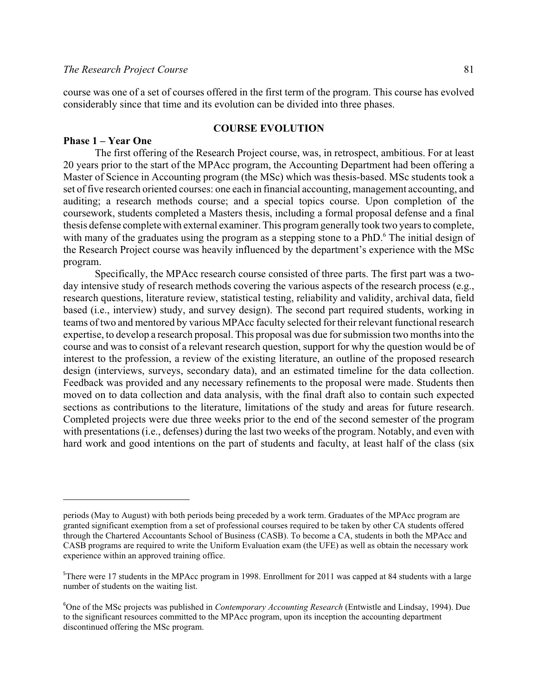course was one of a set of courses offered in the first term of the program. This course has evolved considerably since that time and its evolution can be divided into three phases.

## **COURSE EVOLUTION**

### **Phase 1 – Year One**

The first offering of the Research Project course, was, in retrospect, ambitious. For at least 20 years prior to the start of the MPAcc program, the Accounting Department had been offering a Master of Science in Accounting program (the MSc) which was thesis-based. MSc students took a set of five research oriented courses: one each in financial accounting, management accounting, and auditing; a research methods course; and a special topics course. Upon completion of the coursework, students completed a Masters thesis, including a formal proposal defense and a final thesis defense complete with external examiner. This program generally took two years to complete, with many of the graduates using the program as a stepping stone to a PhD.<sup>6</sup> The initial design of the Research Project course was heavily influenced by the department's experience with the MSc program.

Specifically, the MPAcc research course consisted of three parts. The first part was a twoday intensive study of research methods covering the various aspects of the research process (e.g., research questions, literature review, statistical testing, reliability and validity, archival data, field based (i.e., interview) study, and survey design). The second part required students, working in teams of two and mentored by various MPAcc faculty selected for their relevant functional research expertise, to develop a research proposal. This proposal was due for submission two months into the course and was to consist of a relevant research question, support for why the question would be of interest to the profession, a review of the existing literature, an outline of the proposed research design (interviews, surveys, secondary data), and an estimated timeline for the data collection. Feedback was provided and any necessary refinements to the proposal were made. Students then moved on to data collection and data analysis, with the final draft also to contain such expected sections as contributions to the literature, limitations of the study and areas for future research. Completed projects were due three weeks prior to the end of the second semester of the program with presentations (i.e., defenses) during the last two weeks of the program. Notably, and even with hard work and good intentions on the part of students and faculty, at least half of the class (six

periods (May to August) with both periods being preceded by a work term. Graduates of the MPAcc program are granted significant exemption from a set of professional courses required to be taken by other CA students offered through the Chartered Accountants School of Business (CASB). To become a CA, students in both the MPAcc and CASB programs are required to write the Uniform Evaluation exam (the UFE) as well as obtain the necessary work experience within an approved training office.

 $5$ There were 17 students in the MPAcc program in 1998. Enrollment for 2011 was capped at 84 students with a large number of students on the waiting list.

<sup>&</sup>lt;sup>6</sup>One of the MSc projects was published in *Contemporary Accounting Research* (Entwistle and Lindsay, 1994). Due to the significant resources committed to the MPAcc program, upon its inception the accounting department discontinued offering the MSc program.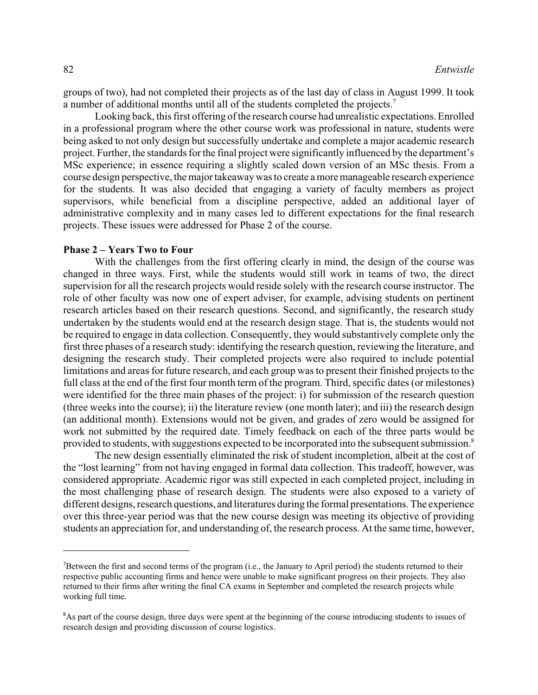groups of two), had not completed their projects as of the last day of class in August 1999. It took a number of additional months until all of the students completed the projects.<sup>7</sup>

Looking back, this first offering of the research course had unrealistic expectations. Enrolled in a professional program where the other course work was professional in nature, students were being asked to not only design but successfully undertake and complete a major academic research project. Further, the standards for the final project were significantly influenced by the department's MSc experience; in essence requiring a slightly scaled down version of an MSc thesis. From a course design perspective, the major takeaway was to create a more manageable research experience for the students. It was also decided that engaging a variety of faculty members as project supervisors, while beneficial from a discipline perspective, added an additional layer of administrative complexity and in many cases led to different expectations for the final research projects. These issues were addressed for Phase 2 of the course.

#### **Phase 2 – Years Two to Four**

With the challenges from the first offering clearly in mind, the design of the course was changed in three ways. First, while the students would still work in teams of two, the direct supervision for all the research projects would reside solely with the research course instructor. The role of other faculty was now one of expert adviser, for example, advising students on pertinent research articles based on their research questions. Second, and significantly, the research study undertaken by the students would end at the research design stage. That is, the students would not be required to engage in data collection. Consequently, they would substantively complete only the first three phases of a research study: identifying the research question, reviewing the literature, and designing the research study. Their completed projects were also required to include potential limitations and areas for future research, and each group was to present their finished projects to the full class at the end of the first four month term of the program. Third, specific dates (or milestones) were identified for the three main phases of the project: i) for submission of the research question (three weeks into the course); ii) the literature review (one month later); and iii) the research design (an additional month). Extensions would not be given, and grades of zero would be assigned for work not submitted by the required date. Timely feedback on each of the three parts would be provided to students, with suggestions expected to be incorporated into the subsequent submission.<sup>8</sup>

The new design essentially eliminated the risk of student incompletion, albeit at the cost of the "lost learning" from not having engaged in formal data collection. This tradeoff, however, was considered appropriate. Academic rigor was still expected in each completed project, including in the most challenging phase of research design. The students were also exposed to a variety of different designs, research questions, and literatures during the formal presentations. The experience over this three-year period was that the new course design was meeting its objective of providing students an appreciation for, and understanding of, the research process. At the same time, however,

Between the first and second terms of the program (i.e., the January to April period) the students returned to their respective public accounting firms and hence were unable to make significant progress on their projects. They also returned to their firms after writing the final CA exams in September and completed the research projects while working full time.

<sup>&</sup>lt;sup>8</sup>As part of the course design, three days were spent at the beginning of the course introducing students to issues of research design and providing discussion of course logistics.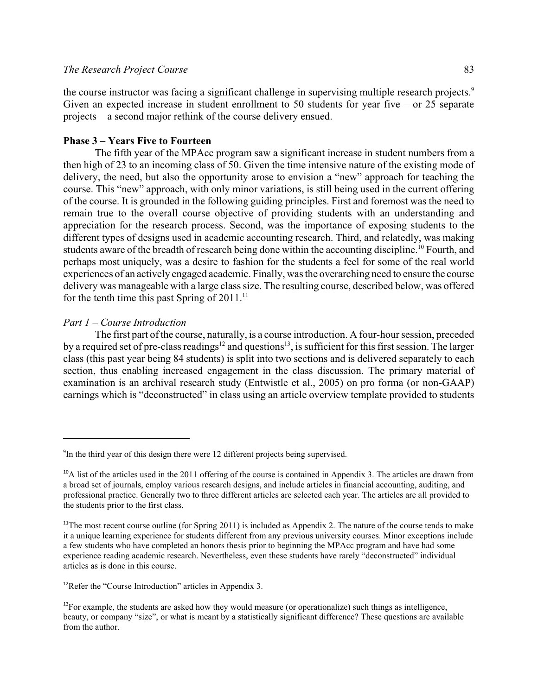## *The Research Project Course* 83

the course instructor was facing a significant challenge in supervising multiple research projects.<sup>9</sup> Given an expected increase in student enrollment to 50 students for year five – or 25 separate projects – a second major rethink of the course delivery ensued.

## **Phase 3 – Years Five to Fourteen**

The fifth year of the MPAcc program saw a significant increase in student numbers from a then high of 23 to an incoming class of 50. Given the time intensive nature of the existing mode of delivery, the need, but also the opportunity arose to envision a "new" approach for teaching the course. This "new" approach, with only minor variations, is still being used in the current offering of the course. It is grounded in the following guiding principles. First and foremost was the need to remain true to the overall course objective of providing students with an understanding and appreciation for the research process. Second, was the importance of exposing students to the different types of designs used in academic accounting research. Third, and relatedly, was making students aware of the breadth of research being done within the accounting discipline.<sup>10</sup> Fourth, and perhaps most uniquely, was a desire to fashion for the students a feel for some of the real world experiences of an actively engaged academic. Finally, was the overarching need to ensure the course delivery was manageable with a large class size. The resulting course, described below, was offered for the tenth time this past Spring of  $2011$ .<sup>11</sup>

#### *Part 1 – Course Introduction*

The first part of the course, naturally, is a course introduction. A four-hour session, preceded by a required set of pre-class readings<sup>12</sup> and questions<sup>13</sup>, is sufficient for this first session. The larger class (this past year being 84 students) is split into two sections and is delivered separately to each section, thus enabling increased engagement in the class discussion. The primary material of examination is an archival research study (Entwistle et al., 2005) on pro forma (or non-GAAP) earnings which is "deconstructed" in class using an article overview template provided to students

 $\rm{P}^{9}$ In the third year of this design there were 12 different projects being supervised.

 $^{10}$ A list of the articles used in the 2011 offering of the course is contained in Appendix 3. The articles are drawn from a broad set of journals, employ various research designs, and include articles in financial accounting, auditing, and professional practice. Generally two to three different articles are selected each year. The articles are all provided to the students prior to the first class.

<sup>&</sup>lt;sup>11</sup>The most recent course outline (for Spring 2011) is included as Appendix 2. The nature of the course tends to make it a unique learning experience for students different from any previous university courses. Minor exceptions include a few students who have completed an honors thesis prior to beginning the MPAcc program and have had some experience reading academic research. Nevertheless, even these students have rarely "deconstructed" individual articles as is done in this course.

 $12$ Refer the "Course Introduction" articles in Appendix 3.

 $^{13}$ For example, the students are asked how they would measure (or operationalize) such things as intelligence, beauty, or company "size", or what is meant by a statistically significant difference? These questions are available from the author.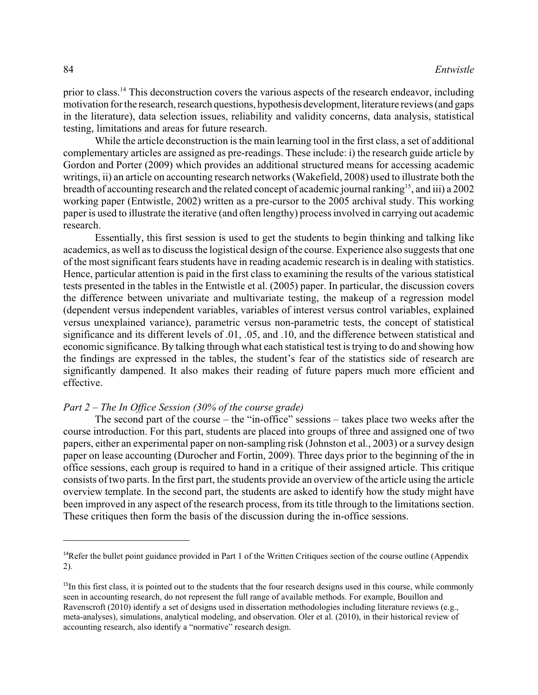prior to class.<sup>14</sup> This deconstruction covers the various aspects of the research endeavor, including motivation for the research, research questions, hypothesis development, literature reviews (and gaps in the literature), data selection issues, reliability and validity concerns, data analysis, statistical testing, limitations and areas for future research.

While the article deconstruction is the main learning tool in the first class, a set of additional complementary articles are assigned as pre-readings. These include: i) the research guide article by Gordon and Porter (2009) which provides an additional structured means for accessing academic writings, ii) an article on accounting research networks (Wakefield, 2008) used to illustrate both the breadth of accounting research and the related concept of academic journal ranking<sup>15</sup>, and iii) a 2002 working paper (Entwistle, 2002) written as a pre-cursor to the 2005 archival study. This working paper is used to illustrate the iterative (and often lengthy) process involved in carrying out academic research.

Essentially, this first session is used to get the students to begin thinking and talking like academics, as well as to discuss the logistical design of the course. Experience also suggests that one of the most significant fears students have in reading academic research is in dealing with statistics. Hence, particular attention is paid in the first class to examining the results of the various statistical tests presented in the tables in the Entwistle et al. (2005) paper. In particular, the discussion covers the difference between univariate and multivariate testing, the makeup of a regression model (dependent versus independent variables, variables of interest versus control variables, explained versus unexplained variance), parametric versus non-parametric tests, the concept of statistical significance and its different levels of .01, .05, and .10, and the difference between statistical and economic significance. By talking through what each statistical test is trying to do and showing how the findings are expressed in the tables, the student's fear of the statistics side of research are significantly dampened. It also makes their reading of future papers much more efficient and effective.

#### *Part 2 – The In Office Session (30% of the course grade)*

The second part of the course – the "in-office" sessions – takes place two weeks after the course introduction. For this part, students are placed into groups of three and assigned one of two papers, either an experimental paper on non-sampling risk (Johnston et al., 2003) or a survey design paper on lease accounting (Durocher and Fortin, 2009). Three days prior to the beginning of the in office sessions, each group is required to hand in a critique of their assigned article. This critique consists of two parts. In the first part, the students provide an overview of the article using the article overview template. In the second part, the students are asked to identify how the study might have been improved in any aspect of the research process, from its title through to the limitations section. These critiques then form the basis of the discussion during the in-office sessions.

<sup>&</sup>lt;sup>14</sup>Refer the bullet point guidance provided in Part 1 of the Written Critiques section of the course outline (Appendix 2).

 $15$ In this first class, it is pointed out to the students that the four research designs used in this course, while commonly seen in accounting research, do not represent the full range of available methods. For example, Bouillon and Ravenscroft (2010) identify a set of designs used in dissertation methodologies including literature reviews (e.g., meta-analyses), simulations, analytical modeling, and observation. Oler et al. (2010), in their historical review of accounting research, also identify a "normative" research design.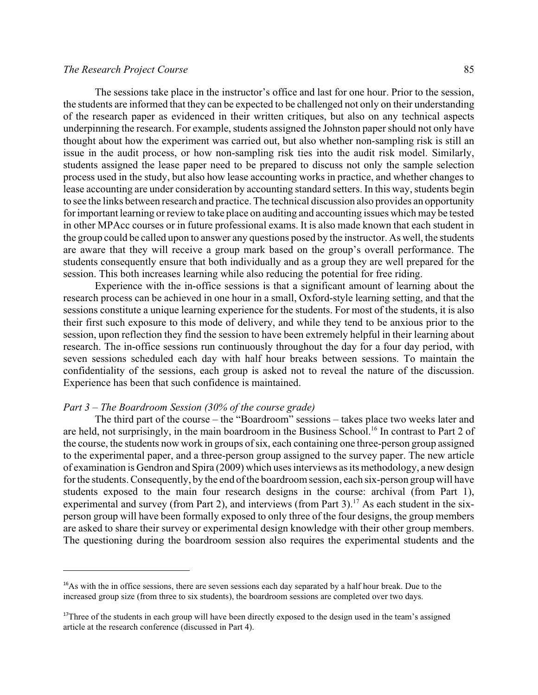## *The Research Project Course* 85

The sessions take place in the instructor's office and last for one hour. Prior to the session, the students are informed that they can be expected to be challenged not only on their understanding of the research paper as evidenced in their written critiques, but also on any technical aspects underpinning the research. For example, students assigned the Johnston paper should not only have thought about how the experiment was carried out, but also whether non-sampling risk is still an issue in the audit process, or how non-sampling risk ties into the audit risk model. Similarly, students assigned the lease paper need to be prepared to discuss not only the sample selection process used in the study, but also how lease accounting works in practice, and whether changes to lease accounting are under consideration by accounting standard setters. In this way, students begin to see the links between research and practice. The technical discussion also provides an opportunity for important learning or review to take place on auditing and accounting issues which may be tested in other MPAcc courses or in future professional exams. It is also made known that each student in the group could be called upon to answer any questions posed by the instructor. As well, the students are aware that they will receive a group mark based on the group's overall performance. The students consequently ensure that both individually and as a group they are well prepared for the session. This both increases learning while also reducing the potential for free riding.

Experience with the in-office sessions is that a significant amount of learning about the research process can be achieved in one hour in a small, Oxford-style learning setting, and that the sessions constitute a unique learning experience for the students. For most of the students, it is also their first such exposure to this mode of delivery, and while they tend to be anxious prior to the session, upon reflection they find the session to have been extremely helpful in their learning about research. The in-office sessions run continuously throughout the day for a four day period, with seven sessions scheduled each day with half hour breaks between sessions. To maintain the confidentiality of the sessions, each group is asked not to reveal the nature of the discussion. Experience has been that such confidence is maintained.

#### *Part 3 – The Boardroom Session (30% of the course grade)*

The third part of the course – the "Boardroom" sessions – takes place two weeks later and are held, not surprisingly, in the main boardroom in the Business School.<sup>16</sup> In contrast to Part 2 of the course, the students now work in groups of six, each containing one three-person group assigned to the experimental paper, and a three-person group assigned to the survey paper. The new article of examination is Gendron and Spira (2009) which uses interviews as its methodology, a new design for the students. Consequently, by the end of the boardroom session, each six-person group will have students exposed to the main four research designs in the course: archival (from Part 1), experimental and survey (from Part 2), and interviews (from Part 3).<sup>17</sup> As each student in the sixperson group will have been formally exposed to only three of the four designs, the group members are asked to share their survey or experimental design knowledge with their other group members. The questioning during the boardroom session also requires the experimental students and the

 $^{16}$ As with the in office sessions, there are seven sessions each day separated by a half hour break. Due to the increased group size (from three to six students), the boardroom sessions are completed over two days.

<sup>&</sup>lt;sup>17</sup>Three of the students in each group will have been directly exposed to the design used in the team's assigned article at the research conference (discussed in Part 4).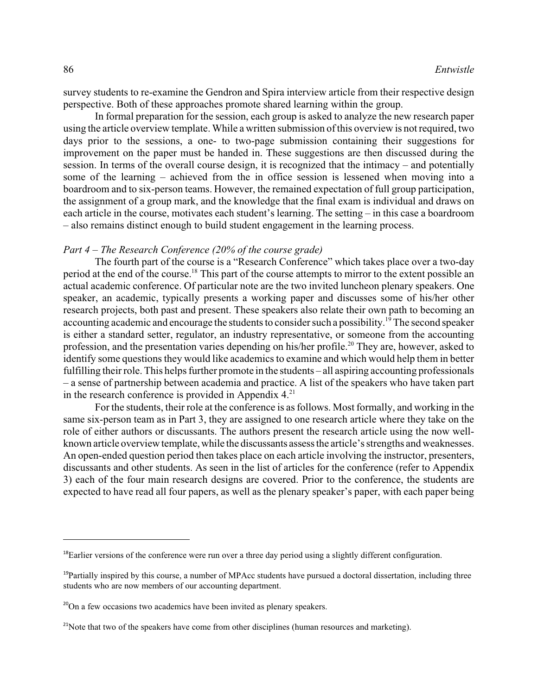survey students to re-examine the Gendron and Spira interview article from their respective design perspective. Both of these approaches promote shared learning within the group.

In formal preparation for the session, each group is asked to analyze the new research paper using the article overview template. While a written submission of this overview is not required, two days prior to the sessions, a one- to two-page submission containing their suggestions for improvement on the paper must be handed in. These suggestions are then discussed during the session. In terms of the overall course design, it is recognized that the intimacy – and potentially some of the learning – achieved from the in office session is lessened when moving into a boardroom and to six-person teams. However, the remained expectation of full group participation, the assignment of a group mark, and the knowledge that the final exam is individual and draws on each article in the course, motivates each student's learning. The setting – in this case a boardroom – also remains distinct enough to build student engagement in the learning process.

#### *Part 4 – The Research Conference (20% of the course grade)*

The fourth part of the course is a "Research Conference" which takes place over a two-day period at the end of the course.<sup>18</sup> This part of the course attempts to mirror to the extent possible an actual academic conference. Of particular note are the two invited luncheon plenary speakers. One speaker, an academic, typically presents a working paper and discusses some of his/her other research projects, both past and present. These speakers also relate their own path to becoming an accounting academic and encourage the students to consider such a possibility.<sup>19</sup> The second speaker is either a standard setter, regulator, an industry representative, or someone from the accounting profession, and the presentation varies depending on his/her profile.<sup>20</sup> They are, however, asked to identify some questions they would like academics to examine and which would help them in better fulfilling their role. This helps further promote in the students – all aspiring accounting professionals – a sense of partnership between academia and practice. A list of the speakers who have taken part in the research conference is provided in Appendix  $4.^{21}$ .

For the students, their role at the conference is as follows. Most formally, and working in the same six-person team as in Part 3, they are assigned to one research article where they take on the role of either authors or discussants. The authors present the research article using the now wellknown article overview template, while the discussants assess the article's strengths and weaknesses. An open-ended question period then takes place on each article involving the instructor, presenters, discussants and other students. As seen in the list of articles for the conference (refer to Appendix 3) each of the four main research designs are covered. Prior to the conference, the students are expected to have read all four papers, as well as the plenary speaker's paper, with each paper being

 $^{18}$ Earlier versions of the conference were run over a three day period using a slightly different configuration.

 $<sup>19</sup>$ Partially inspired by this course, a number of MPAcc students have pursued a doctoral dissertation, including three</sup> students who are now members of our accounting department.

 $^{20}$ On a few occasions two academics have been invited as plenary speakers.

 $2<sup>21</sup>$ Note that two of the speakers have come from other disciplines (human resources and marketing).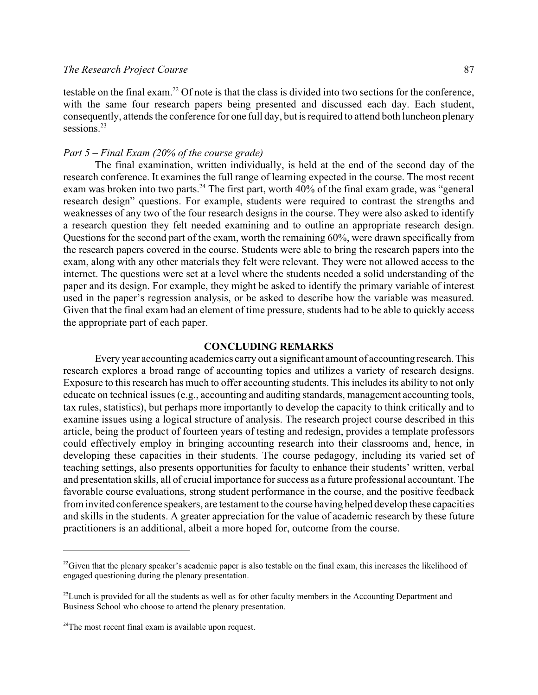## *The Research Project Course* 87

testable on the final exam.<sup>22</sup> Of note is that the class is divided into two sections for the conference, with the same four research papers being presented and discussed each day. Each student, consequently, attends the conference for one full day, but is required to attend both luncheon plenary sessions.<sup>23</sup>

## *Part 5 – Final Exam (20% of the course grade)*

The final examination, written individually, is held at the end of the second day of the research conference. It examines the full range of learning expected in the course. The most recent exam was broken into two parts.<sup>24</sup> The first part, worth  $40\%$  of the final exam grade, was "general research design" questions. For example, students were required to contrast the strengths and weaknesses of any two of the four research designs in the course. They were also asked to identify a research question they felt needed examining and to outline an appropriate research design. Questions for the second part of the exam, worth the remaining 60%, were drawn specifically from the research papers covered in the course. Students were able to bring the research papers into the exam, along with any other materials they felt were relevant. They were not allowed access to the internet. The questions were set at a level where the students needed a solid understanding of the paper and its design. For example, they might be asked to identify the primary variable of interest used in the paper's regression analysis, or be asked to describe how the variable was measured. Given that the final exam had an element of time pressure, students had to be able to quickly access the appropriate part of each paper.

## **CONCLUDING REMARKS**

Every year accounting academics carry out a significant amount of accounting research. This research explores a broad range of accounting topics and utilizes a variety of research designs. Exposure to this research has much to offer accounting students. This includes its ability to not only educate on technical issues (e.g., accounting and auditing standards, management accounting tools, tax rules, statistics), but perhaps more importantly to develop the capacity to think critically and to examine issues using a logical structure of analysis. The research project course described in this article, being the product of fourteen years of testing and redesign, provides a template professors could effectively employ in bringing accounting research into their classrooms and, hence, in developing these capacities in their students. The course pedagogy, including its varied set of teaching settings, also presents opportunities for faculty to enhance their students' written, verbal and presentation skills, all of crucial importance for success as a future professional accountant. The favorable course evaluations, strong student performance in the course, and the positive feedback frominvited conference speakers, are testament to the course having helped develop these capacities and skills in the students. A greater appreciation for the value of academic research by these future practitioners is an additional, albeit a more hoped for, outcome from the course.

 $^{22}$ Given that the plenary speaker's academic paper is also testable on the final exam, this increases the likelihood of engaged questioning during the plenary presentation.

 $^{23}$ Lunch is provided for all the students as well as for other faculty members in the Accounting Department and Business School who choose to attend the plenary presentation.

 $24$ The most recent final exam is available upon request.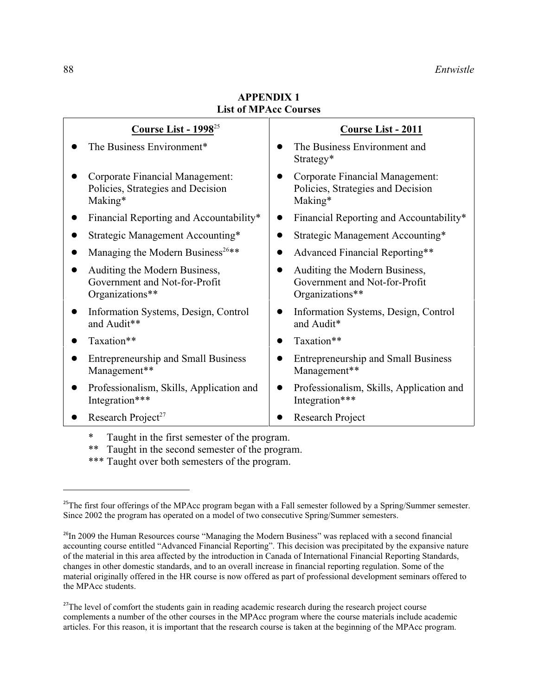| Course List - $1998^{25}$                                                         | <b>Course List - 2011</b>                                                         |  |
|-----------------------------------------------------------------------------------|-----------------------------------------------------------------------------------|--|
| The Business Environment*                                                         | The Business Environment and<br>Strategy*                                         |  |
| Corporate Financial Management:<br>Policies, Strategies and Decision<br>Making*   | Corporate Financial Management:<br>Policies, Strategies and Decision<br>Making*   |  |
| Financial Reporting and Accountability*                                           | Financial Reporting and Accountability*                                           |  |
| Strategic Management Accounting*                                                  | Strategic Management Accounting*                                                  |  |
| Managing the Modern Business <sup>26**</sup>                                      | Advanced Financial Reporting**                                                    |  |
| Auditing the Modern Business,<br>Government and Not-for-Profit<br>Organizations** | Auditing the Modern Business,<br>Government and Not-for-Profit<br>Organizations** |  |
| Information Systems, Design, Control<br>and Audit**                               | Information Systems, Design, Control<br>and Audit*                                |  |
| Taxation**                                                                        | Taxation**                                                                        |  |
| <b>Entrepreneurship and Small Business</b><br>Management**                        | <b>Entrepreneurship and Small Business</b><br>Management**                        |  |
| Professionalism, Skills, Application and<br>Integration***                        | Professionalism, Skills, Application and<br>Integration***                        |  |
| Research Project <sup>27</sup>                                                    | Research Project                                                                  |  |

**APPENDIX 1 List of MPAcc Courses**

Taught in the first semester of the program.

\*\* Taught in the second semester of the program.

\*\*\* Taught over both semesters of the program.

 $^{25}$ The first four offerings of the MPAcc program began with a Fall semester followed by a Spring/Summer semester. Since 2002 the program has operated on a model of two consecutive Spring/Summer semesters.

<sup>&</sup>lt;sup>26</sup>In 2009 the Human Resources course "Managing the Modern Business" was replaced with a second financial accounting course entitled "Advanced Financial Reporting". This decision was precipitated by the expansive nature of the material in this area affected by the introduction in Canada of International Financial Reporting Standards, changes in other domestic standards, and to an overall increase in financial reporting regulation. Some of the material originally offered in the HR course is now offered as part of professional development seminars offered to the MPAcc students.

<sup>&</sup>lt;sup>27</sup>The level of comfort the students gain in reading academic research during the research project course complements a number of the other courses in the MPAcc program where the course materials include academic articles. For this reason, it is important that the research course is taken at the beginning of the MPAcc program.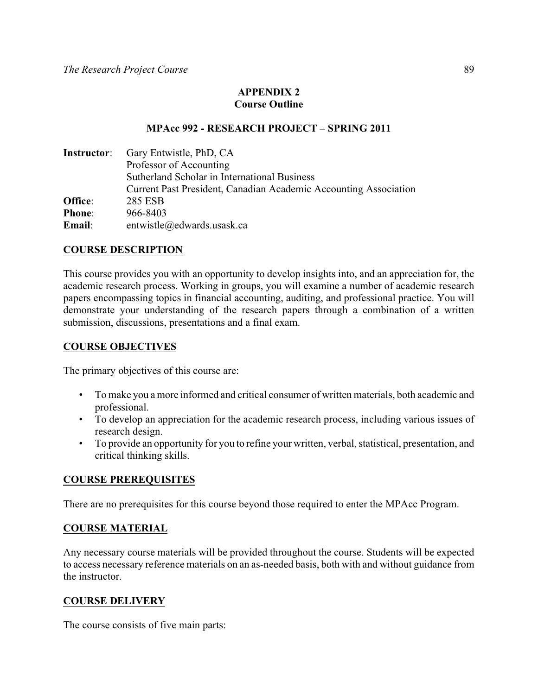# **APPENDIX 2 Course Outline**

## **MPAcc 992 - RESEARCH PROJECT – SPRING 2011**

|               | <b>Instructor:</b> Gary Entwistle, PhD, CA                       |  |  |
|---------------|------------------------------------------------------------------|--|--|
|               | Professor of Accounting                                          |  |  |
|               | Sutherland Scholar in International Business                     |  |  |
|               | Current Past President, Canadian Academic Accounting Association |  |  |
| Office:       | 285 ESB                                                          |  |  |
| <b>Phone:</b> | 966-8403                                                         |  |  |
| Email:        | entwistle@edwards.usask.ca                                       |  |  |

# **COURSE DESCRIPTION**

This course provides you with an opportunity to develop insights into, and an appreciation for, the academic research process. Working in groups, you will examine a number of academic research papers encompassing topics in financial accounting, auditing, and professional practice. You will demonstrate your understanding of the research papers through a combination of a written submission, discussions, presentations and a final exam.

## **COURSE OBJECTIVES**

The primary objectives of this course are:

- To make you a more informed and critical consumer of written materials, both academic and professional.
- To develop an appreciation for the academic research process, including various issues of research design.
- To provide an opportunity for you to refine your written, verbal, statistical, presentation, and critical thinking skills.

## **COURSE PREREQUISITES**

There are no prerequisites for this course beyond those required to enter the MPAcc Program.

## **COURSE MATERIAL**

Any necessary course materials will be provided throughout the course. Students will be expected to access necessary reference materials on an as-needed basis, both with and without guidance from the instructor.

## **COURSE DELIVERY**

The course consists of five main parts: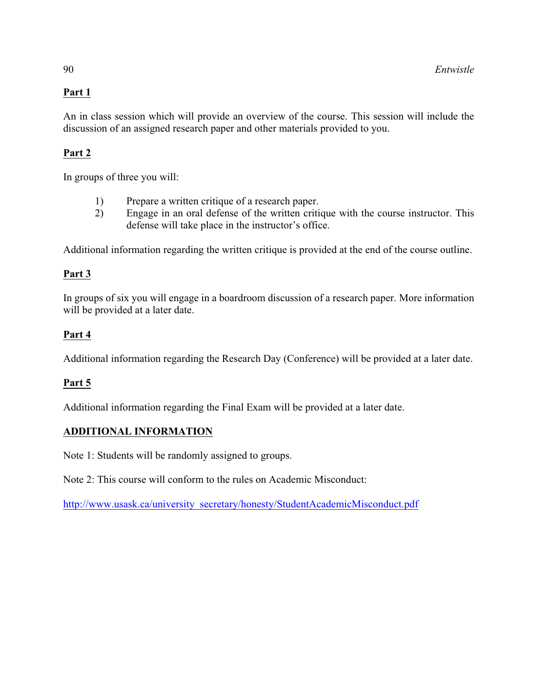# **Part 1**

An in class session which will provide an overview of the course. This session will include the discussion of an assigned research paper and other materials provided to you.

# **Part 2**

In groups of three you will:

- 1) Prepare a written critique of a research paper.<br>2) Engage in an oral defense of the written criti
- 2) Engage in an oral defense of the written critique with the course instructor. This defense will take place in the instructor's office.

Additional information regarding the written critique is provided at the end of the course outline.

# **Part 3**

In groups of six you will engage in a boardroom discussion of a research paper. More information will be provided at a later date.

# **Part 4**

Additional information regarding the Research Day (Conference) will be provided at a later date.

# **Part 5**

Additional information regarding the Final Exam will be provided at a later date.

# **ADDITIONAL INFORMATION**

Note 1: Students will be randomly assigned to groups.

Note 2: This course will conform to the rules on Academic Misconduct:

[http://www.usask.ca/university\\_secretary/honesty/StudentAcademicMisconduct.pdf](http://www.usask.ca/university_secretary/honesty/StudentAcademicMisconduct.pdf)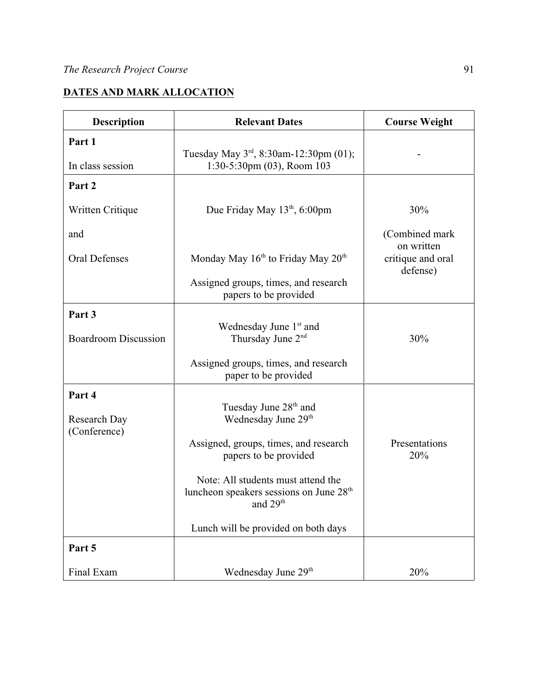# **DATES AND MARK ALLOCATION**

| <b>Relevant Dates</b><br><b>Description</b> |                                                                                                                   | <b>Course Weight</b>                        |  |
|---------------------------------------------|-------------------------------------------------------------------------------------------------------------------|---------------------------------------------|--|
| Part 1                                      |                                                                                                                   |                                             |  |
| In class session                            | Tuesday May $3^{rd}$ , 8:30am-12:30pm (01);<br>1:30-5:30pm (03), Room 103                                         |                                             |  |
| Part 2                                      |                                                                                                                   |                                             |  |
| Written Critique                            | Due Friday May 13 <sup>th</sup> , 6:00pm                                                                          | 30%                                         |  |
| and                                         |                                                                                                                   | (Combined mark                              |  |
| <b>Oral Defenses</b>                        | Monday May $16th$ to Friday May $20th$                                                                            | on written<br>critique and oral<br>defense) |  |
|                                             | Assigned groups, times, and research<br>papers to be provided                                                     |                                             |  |
| Part 3                                      |                                                                                                                   |                                             |  |
| <b>Boardroom Discussion</b>                 | Wednesday June 1st and<br>Thursday June 2 <sup>nd</sup>                                                           | 30%                                         |  |
|                                             | Assigned groups, times, and research<br>paper to be provided                                                      |                                             |  |
| Part 4                                      |                                                                                                                   |                                             |  |
| <b>Research Day</b>                         | Tuesday June 28 <sup>th</sup> and<br>Wednesday June 29th                                                          |                                             |  |
| (Conference)                                | Assigned, groups, times, and research<br>papers to be provided                                                    | Presentations<br>20%                        |  |
|                                             | Note: All students must attend the<br>luncheon speakers sessions on June 28 <sup>th</sup><br>and 29 <sup>th</sup> |                                             |  |
|                                             | Lunch will be provided on both days                                                                               |                                             |  |
| Part 5                                      |                                                                                                                   |                                             |  |
| Final Exam                                  | Wednesday June 29 <sup>th</sup>                                                                                   | 20%                                         |  |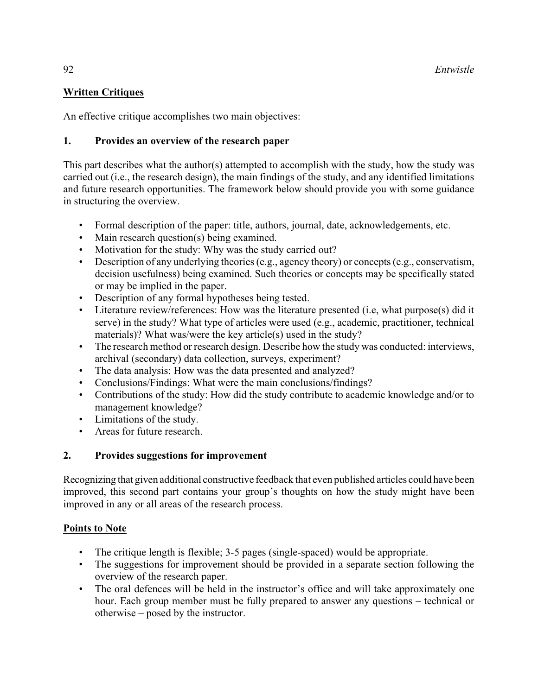# **Written Critiques**

An effective critique accomplishes two main objectives:

# **1. Provides an overview of the research paper**

This part describes what the author(s) attempted to accomplish with the study, how the study was carried out (i.e., the research design), the main findings of the study, and any identified limitations and future research opportunities. The framework below should provide you with some guidance in structuring the overview.

- Formal description of the paper: title, authors, journal, date, acknowledgements, etc.
- Main research question(s) being examined.
- Motivation for the study: Why was the study carried out?
- Description of any underlying theories(e.g., agency theory) or concepts (e.g., conservatism, decision usefulness) being examined. Such theories or concepts may be specifically stated or may be implied in the paper.
- Description of any formal hypotheses being tested.
- Literature review/references: How was the literature presented (i.e, what purpose(s) did it serve) in the study? What type of articles were used (e.g., academic, practitioner, technical materials)? What was/were the key article(s) used in the study?
- The research method or research design. Describe how the study was conducted: interviews, archival (secondary) data collection, surveys, experiment?
- The data analysis: How was the data presented and analyzed?
- Conclusions/Findings: What were the main conclusions/findings?
- Contributions of the study: How did the study contribute to academic knowledge and/or to management knowledge?
- Limitations of the study.
- Areas for future research.

# **2. Provides suggestions for improvement**

Recognizing that given additional constructive feedback that even published articles could have been improved, this second part contains your group's thoughts on how the study might have been improved in any or all areas of the research process.

# **Points to Note**

- The critique length is flexible; 3-5 pages (single-spaced) would be appropriate.
- The suggestions for improvement should be provided in a separate section following the overview of the research paper.
- The oral defences will be held in the instructor's office and will take approximately one hour. Each group member must be fully prepared to answer any questions – technical or otherwise – posed by the instructor.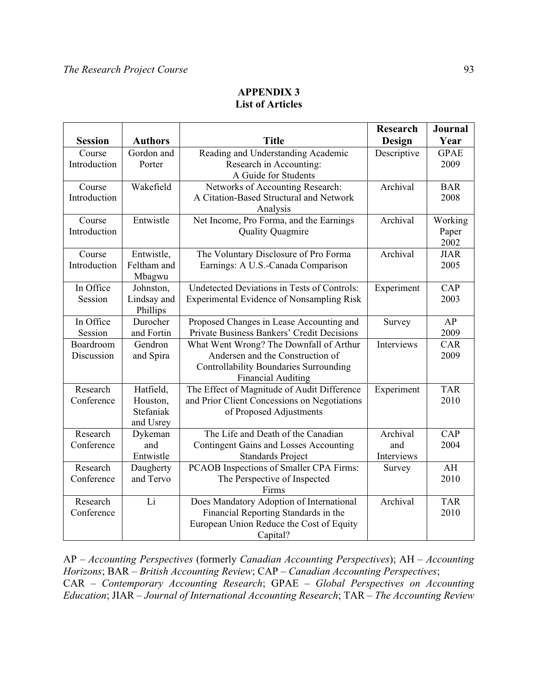# **APPENDIX 3 List of Articles**

|                |                                      |                                               | <b>Research</b> | <b>Journal</b>     |
|----------------|--------------------------------------|-----------------------------------------------|-----------------|--------------------|
| <b>Session</b> | <b>Authors</b>                       | <b>Title</b>                                  | Design          | Year               |
| Course         | Gordon and                           | Reading and Understanding Academic            | Descriptive     | <b>GPAE</b>        |
| Introduction   | Porter                               | Research in Accounting:                       |                 | 2009               |
|                |                                      | A Guide for Students                          |                 |                    |
| Course         | Wakefield                            | Networks of Accounting Research:              | Archival        | <b>BAR</b>         |
| Introduction   |                                      | A Citation-Based Structural and Network       |                 | 2008               |
|                |                                      | Analysis                                      |                 |                    |
| Course         | Entwistle                            | Net Income, Pro Forma, and the Earnings       | Archival        | Working            |
| Introduction   |                                      | <b>Quality Quagmire</b>                       |                 | Paper              |
|                |                                      |                                               |                 | 2002               |
| Course         | Entwistle,                           | The Voluntary Disclosure of Pro Forma         | Archival        | <b>JIAR</b>        |
| Introduction   | Feltham and                          | Earnings: A U.S.-Canada Comparison            |                 | 2005               |
|                | Mbagwu                               |                                               |                 |                    |
| In Office      | Johnston,                            | Undetected Deviations in Tests of Controls:   | Experiment      | CAP                |
| Session        | Lindsay and                          | Experimental Evidence of Nonsampling Risk     |                 | 2003               |
|                | Phillips                             |                                               |                 |                    |
| In Office      | Durocher                             | Proposed Changes in Lease Accounting and      | Survey          | AP                 |
| Session        | and Fortin                           | Private Business Bankers' Credit Decisions    |                 | 2009               |
| Boardroom      | Gendron                              | What Went Wrong? The Downfall of Arthur       | Interviews      | <b>CAR</b>         |
| Discussion     | and Spira                            | Andersen and the Construction of              |                 | 2009               |
|                |                                      | <b>Controllability Boundaries Surrounding</b> |                 |                    |
|                |                                      | <b>Financial Auditing</b>                     |                 |                    |
| Research       | Hatfield,                            | The Effect of Magnitude of Audit Difference   | Experiment      | <b>TAR</b><br>2010 |
| Conference     | Houston,<br>Stefaniak                | and Prior Client Concessions on Negotiations  |                 |                    |
|                | and Usrey                            | of Proposed Adjustments                       |                 |                    |
| Research       | Dykeman                              | The Life and Death of the Canadian            | Archival        | CAP                |
| Conference     | and                                  | <b>Contingent Gains and Losses Accounting</b> | and             | 2004               |
|                | Entwistle                            | <b>Standards Project</b>                      | Interviews      |                    |
| Research       | Daugherty                            | PCAOB Inspections of Smaller CPA Firms:       | Survey          | AH                 |
| Conference     | and Tervo                            | The Perspective of Inspected                  |                 | 2010               |
|                |                                      | Firms                                         |                 |                    |
| Research       | Li                                   | Does Mandatory Adoption of International      | Archival        | <b>TAR</b>         |
| Conference     | Financial Reporting Standards in the |                                               |                 | 2010               |
|                |                                      | European Union Reduce the Cost of Equity      |                 |                    |
|                |                                      | Capital?                                      |                 |                    |

AP – *Accounting Perspectives* (formerly *Canadian Accounting Perspectives*); AH – *Accounting Horizons*; BAR – *British Accounting Review*; CAP – *Canadian Accounting Perspectives*; CAR – *Contemporary Accounting Research*; GPAE – *Global Perspectives on Accounting Education*; JIAR – *Journal of International Accounting Research*; TAR – *The Accounting Review*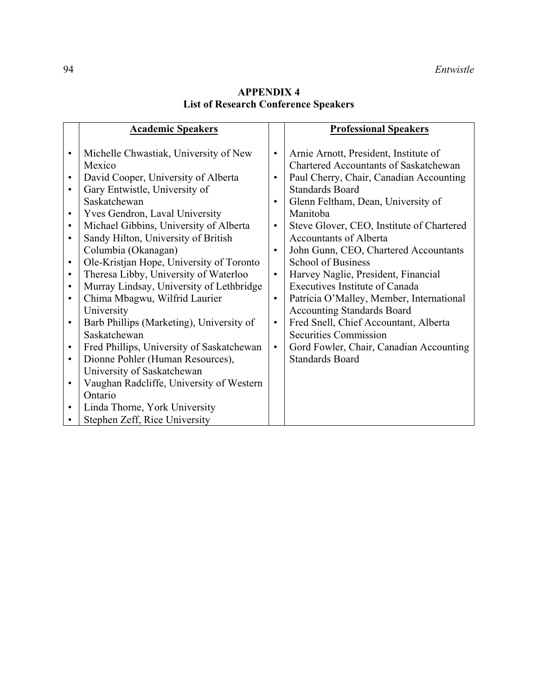# **APPENDIX 4 List of Research Conference Speakers**

|           | <b>Academic Speakers</b>                  |           | <b>Professional Speakers</b>                 |
|-----------|-------------------------------------------|-----------|----------------------------------------------|
|           |                                           |           |                                              |
| $\bullet$ | Michelle Chwastiak, University of New     | $\bullet$ | Arnie Arnott, President, Institute of        |
|           | Mexico                                    |           | <b>Chartered Accountants of Saskatchewan</b> |
| $\bullet$ | David Cooper, University of Alberta       | $\bullet$ | Paul Cherry, Chair, Canadian Accounting      |
|           | Gary Entwistle, University of             |           | <b>Standards Board</b>                       |
|           | Saskatchewan                              | $\bullet$ | Glenn Feltham, Dean, University of           |
| $\bullet$ | <b>Yves Gendron, Laval University</b>     |           | Manitoba                                     |
| $\bullet$ | Michael Gibbins, University of Alberta    | $\bullet$ | Steve Glover, CEO, Institute of Chartered    |
|           | Sandy Hilton, University of British       |           | <b>Accountants of Alberta</b>                |
|           | Columbia (Okanagan)                       | $\bullet$ | John Gunn, CEO, Chartered Accountants        |
| $\bullet$ | Ole-Kristjan Hope, University of Toronto  |           | <b>School of Business</b>                    |
| $\bullet$ | Theresa Libby, University of Waterloo     | $\bullet$ | Harvey Naglie, President, Financial          |
| $\bullet$ | Murray Lindsay, University of Lethbridge  |           | <b>Executives Institute of Canada</b>        |
| $\bullet$ | Chima Mbagwu, Wilfrid Laurier             | $\bullet$ | Patricia O'Malley, Member, International     |
|           | University                                |           | <b>Accounting Standards Board</b>            |
| $\bullet$ | Barb Phillips (Marketing), University of  | $\bullet$ | Fred Snell, Chief Accountant, Alberta        |
|           | Saskatchewan                              |           | <b>Securities Commission</b>                 |
| $\bullet$ | Fred Phillips, University of Saskatchewan | $\bullet$ | Gord Fowler, Chair, Canadian Accounting      |
| $\bullet$ | Dionne Pohler (Human Resources),          |           | <b>Standards Board</b>                       |
|           | University of Saskatchewan                |           |                                              |
| $\bullet$ | Vaughan Radcliffe, University of Western  |           |                                              |
|           | Ontario                                   |           |                                              |
| $\bullet$ | Linda Thorne, York University             |           |                                              |
|           | Stephen Zeff, Rice University             |           |                                              |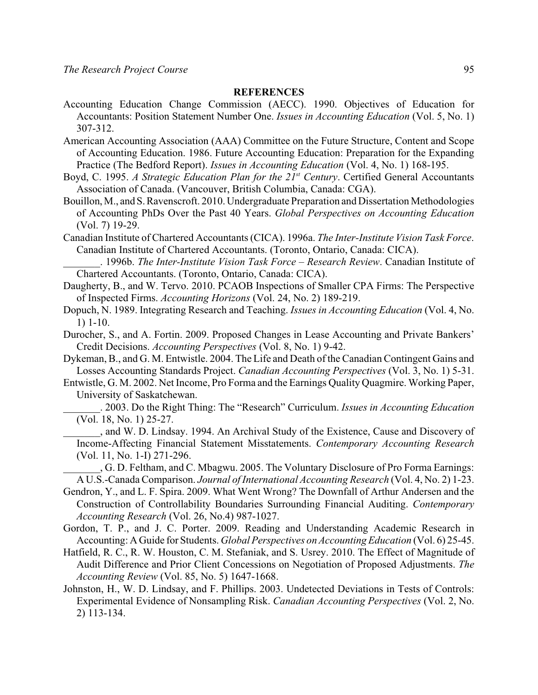## **REFERENCES**

- Accounting Education Change Commission (AECC). 1990. Objectives of Education for Accountants: Position Statement Number One. *Issues in Accounting Education* (Vol. 5, No. 1) 307-312.
- American Accounting Association (AAA) Committee on the Future Structure, Content and Scope of Accounting Education. 1986. Future Accounting Education: Preparation for the Expanding Practice (The Bedford Report). *Issues in Accounting Education* (Vol. 4, No. 1) 168-195.
- Boyd, C. 1995. *A Strategic Education Plan for the 21<sup>st</sup> Century*. Certified General Accountants Association of Canada. (Vancouver, British Columbia, Canada: CGA).
- Bouillon, M., and S.Ravenscroft. 2010. Undergraduate Preparation and Dissertation Methodologies of Accounting PhDs Over the Past 40 Years. *Global Perspectives on Accounting Education* (Vol. 7) 19-29.
- Canadian Institute of Chartered Accountants (CICA). 1996a. *The Inter-Institute Vision Task Force*. Canadian Institute of Chartered Accountants. (Toronto, Ontario, Canada: CICA).
- \_\_\_\_\_\_\_. 1996b. *The Inter-Institute Vision Task Force Research Review*. Canadian Institute of Chartered Accountants. (Toronto, Ontario, Canada: CICA).
- Daugherty, B., and W. Tervo. 2010. PCAOB Inspections of Smaller CPA Firms: The Perspective of Inspected Firms. *Accounting Horizons* (Vol. 24, No. 2) 189-219.
- Dopuch, N. 1989. Integrating Research and Teaching. *Issues in Accounting Education* (Vol. 4, No. 1) 1-10.
- Durocher, S., and A. Fortin. 2009. Proposed Changes in Lease Accounting and Private Bankers' Credit Decisions. *Accounting Perspectives* (Vol. 8, No. 1) 9-42.
- Dykeman, B., and G. M. Entwistle. 2004. The Life and Death of the Canadian Contingent Gains and Losses Accounting Standards Project. *Canadian Accounting Perspectives* (Vol. 3, No. 1) 5-31.
- Entwistle, G. M. 2002. Net Income, Pro Forma and the Earnings Quality Quagmire. Working Paper, University of Saskatchewan.
	- \_\_\_\_\_\_\_. 2003. Do the Right Thing: The "Research" Curriculum. *Issues in Accounting Education* (Vol. 18, No. 1) 25-27.
	- \_\_\_\_\_\_\_, and W. D. Lindsay. 1994. An Archival Study of the Existence, Cause and Discovery of Income-Affecting Financial Statement Misstatements. *Contemporary Accounting Research* (Vol. 11, No. 1-I) 271-296.

\_\_\_\_\_\_\_, G. D. Feltham, and C. Mbagwu. 2005. The Voluntary Disclosure of Pro Forma Earnings: A U.S.-Canada Comparison. *Journal of International Accounting Research* (Vol. 4, No. 2) 1-23.

- Gendron, Y., and L. F. Spira. 2009. What Went Wrong? The Downfall of Arthur Andersen and the Construction of Controllability Boundaries Surrounding Financial Auditing. *Contemporary Accounting Research* (Vol. 26, No.4) 987-1027.
- Gordon, T. P., and J. C. Porter. 2009. Reading and Understanding Academic Research in Accounting: A Guide for Students. *Global Perspectives on Accounting Education* (Vol. 6) 25-45.
- Hatfield, R. C., R. W. Houston, C. M. Stefaniak, and S. Usrey. 2010. The Effect of Magnitude of Audit Difference and Prior Client Concessions on Negotiation of Proposed Adjustments. *The Accounting Review* (Vol. 85, No. 5) 1647-1668.
- Johnston, H., W. D. Lindsay, and F. Phillips. 2003. Undetected Deviations in Tests of Controls: Experimental Evidence of Nonsampling Risk. *Canadian Accounting Perspectives* (Vol. 2, No. 2) 113-134.